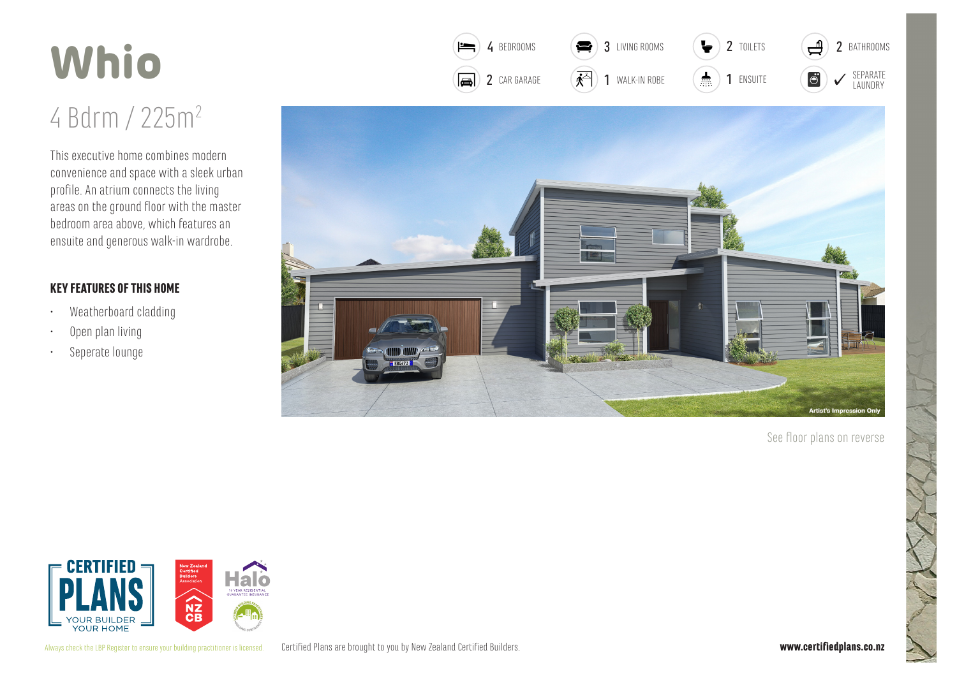## Whio

## 4 Bdrm / 225m<sup>2</sup>

This executive home combines modern convenience and space with a sleek urban profile. An atrium connects the living areas on the ground floor with the master bedroom area above, which features an ensuite and generous walk-in wardrobe.

## **KEY FEATURES OF THIS HOME**

- Weatherboard cladding  $\bullet$
- Open plan living
- Seperate lounge  $\ddot{\phantom{0}}$



 $\bullet$ 

3 TIVING ROOMS

4 BEDROOMS

 $\equiv$ 

See floor plans on reverse

ச

2 BATHROOMS

 $\overline{\mathbf{r}}$ 

2 TOILETS